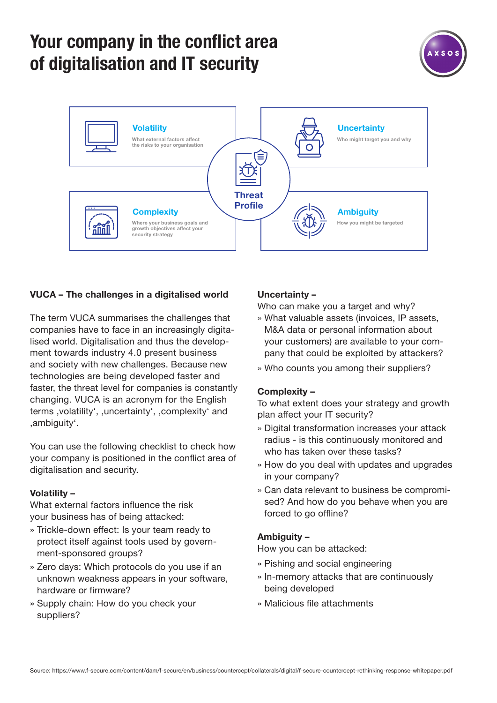## **Your company in the conflict area of digitalisation and IT security**





### **VUCA – The challenges in a digitalised world**

The term VUCA summarises the challenges that companies have to face in an increasingly digitalised world. Digitalisation and thus the development towards industry 4.0 present business and society with new challenges. Because new technologies are being developed faster and faster, the threat level for companies is constantly changing. VUCA is an acronym for the English terms , volatility', , uncertainty', , complexity' and 'ambiguity'.

You can use the following checklist to check how your company is positioned in the conflict area of digitalisation and security.

#### **Volatility –**

What external factors influence the risk your business has of being attacked:

- » Trickle-down effect: Is your team ready to protect itself against tools used by government-sponsored groups?
- » Zero days: Which protocols do you use if an unknown weakness appears in your software, hardware or firmware?
- » Supply chain: How do you check your suppliers?

#### **Uncertainty –**

Who can make you a target and why?

- » What valuable assets (invoices, IP assets, M&A data or personal information about your customers) are available to your company that could be exploited by attackers?
- » Who counts you among their suppliers?

#### **Complexity –**

To what extent does your strategy and growth plan affect your IT security?

- » Digital transformation increases your attack radius - is this continuously monitored and who has taken over these tasks?
- » How do you deal with updates and upgrades in your company?
- » Can data relevant to business be compromised? And how do you behave when you are forced to go offline?

#### **Ambiguity –**

How you can be attacked:

- » Pishing and social engineering
- » In-memory attacks that are continuously being developed
- » Malicious file attachments